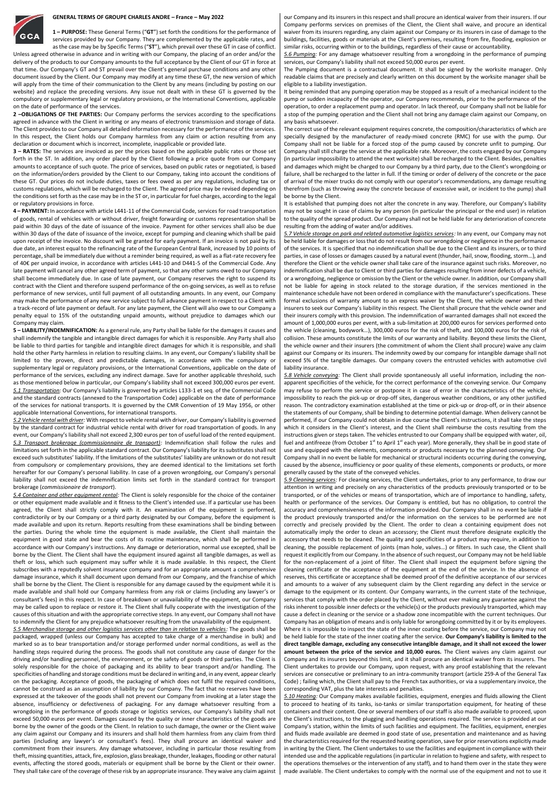## **GENERAL TERMS OF GROUPE CHARLES ANDRE – France – May 2022**



Unless agreed otherwise in advance and in writing with our Company, the placing of an order and/or the delivery of the products to our Company amounts to the full acceptance by the Client of our GT in force at that time. Our Company's GT and ST prevail over the Client's general purchase conditions and any other document issued by the Client. Our Company may modify at any time these GT, the new version of which will apply from the time of their communication to the Client by any means (including by posting on our website) and replace the preceding versions. Any issue not dealt with in these GT is governed by the compulsory or supplementary legal or regulatory provisions, or the International Conventions, applicable on the date of performance of the services.

**2 –OBLIGATIONS OF THE PARTIES:** Our Company performs the services according to the specifications agreed in advance with the Client in writing or any means of electronic transmission and storage of data. The Client provides to our Company all detailed information necessary for the performance of the services. In this respect, the Client holds our Company harmless from any claim or action resulting from any declaration or document which is incorrect, incomplete, inapplicable or provided late.

**3 – RATES:** The services are invoiced as per the prices based on the applicable public rates or those set forth in the ST. In addition, any order placed by the Client following a price quote from our Company amounts to acceptance of such quote. The price of services, based on public rates or negotiated, is based on the information/orders provided by the Client to our Company, taking into account the conditions of these GT. Our prices do not include duties, taxes or fees owed as per any regulations, including tax or customs regulations, which will be recharged to the Client. The agreed price may be revised depending on the conditions set forth as the case may be in the ST or, in particular for fuel charges, according to the legal or regulatory provisions in force.

**4 – PAYMENT:** In accordance with article L441-11 of the Commercial Code, services for road transportation of goods, rental of vehicles with or without driver, freight forwarding or customs representation shall be paid within 30 days of the date of issuance of the invoice. Payment for other services shall also be due within 30 days of the date of issuance of the invoice, except for pumping and cleaning which shall be paid upon receipt of the invoice. No discount will be granted for early payment. If an invoice is not paid by its due date, an interest equal to the refinancing rate of the European Central Bank, increased by 10 points of percentage, shall be immediately due without a reminder being required, as well as a flat-rate recovery fee of 40€ per unpaid invoice, in accordance with articles L441-10 and D441-5 of the Commercial Code. Any late payment will cancel any other agreed term of payment, so that any other sums owed to our Company shall become immediately due. In case of late payment, our Company reserves the right to suspend its contract with the Client and therefore suspend performance of the on-going services, as well as to refuse performance of new services, until full payment of all outstanding amounts. In any event, our Company may make the performance of any new service subject to full advance payment in respect to a Client with a track-record of late payment or default. For any late payment, the Client will also owe to our Company a penalty equal to 15% of the outstanding unpaid amounts, without prejudice to damages which our Company may claim.

**5 – LIABILITY/INDEMNIFICATION:** As a general rule, any Party shall be liable for the damages it causes and shall indemnify the tangible and intangible direct damages for which it is responsible. Any Party shall also be liable to third parties for tangible and intangible direct damages for which it is responsible, and shall hold the other Party harmless in relation to resulting claims. In any event, our Company's liability shall be limited to the proven, direct and predictable damages, in accordance with the compulsory or supplementary legal or regulatory provisions, or the International Conventions, applicable on the date of performance of the services, excluding any indirect damage. Save for another applicable threshold, such as those mentioned below in particular, our Company's liability shall not exceed 300,000 euros per event. *5.1 Transportation:* Our Company's liability is governed by articles L133-1 et seq. of the Commercial Code and the standard contracts (annexed to the Transportation Code) applicable on the date of performance of the services for national transports. It is governed by the CMR Convention of 19 May 1956, or other applicable International Conventions, for international transports.

*5.2 Vehicle rental with driver:* With respect to vehicle rental with driver, our Company's liability is governed by the standard contract for industrial vehicle rental with driver for road transportation of goods. In any event, our Company's liability shall not exceed 2,300 euros per ton of useful load of the rented equipment. *5.3 Transport brokerage (commissionnaire de transport):* Indemnification shall follow the rules and limitations set forth in the applicable standard contract. Our Company's liability for its substitutes shall not exceed such substitutes' liability. If the limitations of the substitutes' liability are unknown or do not result from compulsory or complementary provisions, they are deemed identical to the limitations set forth hereafter for our Company's personal liability. In case of a proven wrongdoing, our Company's personal liability shall not exceed the indemnification limits set forth in the standard contract for transport brokerage (*commissionaire de transport*).

*5.4 Container and other equipment rental:* The Client is solely responsible for the choice of the container or other equipment made available and it fitness to the Client's intended use. If a particular use has been agreed, the Client shall strictly comply with it. An examination of the equipment is performed, contradictorily or by our Company or a third party designated by our Company, before the equipment is made available and upon its return. Reports resulting from these examinations shall be binding between the parties. During the whole time the equipment is made available, the Client shall maintain the equipment in good state and bear the costs of its routine maintenance, which shall be performed in accordance with our Company's instructions. Any damage or deterioration, normal use excepted, shall be borne by the Client. The Client shall have the equipment insured against all tangible damages, as well as theft or loss, which such equipment may suffer while it is made available. In this respect, the Client subscribes with a reputedly solvent insurance company and for an appropriate amount a comprehensive damage insurance, which it shall document upon demand from our Company, and the franchise of which shall be borne by the Client. The Client is responsible for any damage caused by the equipment while it is made available and shall hold our Company harmless from any risk or claims (including any lawyer's or consultant's fees) in this respect. In case of breakdown or unavailability of the equipment, our Company may be called upon to replace or restore it. The Client shall fully cooperate with the investigation of the causes of this situation and with the appropriate corrective steps. In any event, our Company shall not have to indemnify the Client for any prejudice whatsoever resulting from the unavailability of the equipment.

*5.5 Merchandise storage and other logistics services other than in relation to vehicles:* The goods shall be packaged, wrapped (unless our Company has accepted to take charge of a merchandise in bulk) and marked so as to bear transportation and/or storage performed under normal conditions, as well as the handling steps required during the process. The goods shall not constitute any cause of danger for the driving and/or handling personnel, the environment, or the safety of goods or third parties. The Client is solely responsible for the choice of packaging and its ability to bear transport and/or handling. The specificities of handling and storage conditions must be declared in writing and, in any event, appear clearly on the packaging. Acceptance of goods, the packaging of which does not fulfil the required conditions, cannot be construed as an assumption of liability by our Company. The fact that no reserves have been expressed at the takeover of the goods shall not prevent our Company from invoking at a later stage the absence, insufficiency or defectiveness of packaging. For any damage whatsoever resulting from a wrongdoing in the performance of goods storage or logistics services, our Company's liability shall not exceed 50,000 euros per event. Damages caused by the quality or inner characteristics of the goods are borne by the owner of the goods or the Client. In relation to such damage, the owner or the Client waive any claim against our Company and its insurers and shall hold them harmless from any claim from third parties (including any lawyer's or consultant's fees). They shall procure an identical waiver and commitment from their insurers. Any damage whatsoever, including in particular those resulting from theft, missing quantities, attack, fire, explosion, glass breakage, thunder, leakages, flooding or other natural events, affecting the stored goods, materials or equipment shall be borne by the Client or their owner. They shall take care of the coverage of these risk by an appropriate insurance. They waive any claim against our Company and its insurers in this respect and shall procure an identical waiver from their insurers. If our Company performs services on premises of the Client, the Client shall waive, and procure an identical waiver from its insurers regarding, any claim against our Company or its insurers in case of damage to the buildings, facilities, goods or materials at the Client's premises, resulting from fire, flooding, explosion or similar risks, occurring within or to the buildings, regardless of their cause or accountability.

*5.6 Pumping:* For any damage whatsoever resulting from a wrongdoing in the performance of pumping services, our Company's liability shall not exceed 50,000 euros per event.

The Pumping document is a contractual document. It shall be signed by the worksite manager. Only readable claims that are precisely and clearly written on this document by the worksite manager shall be eligible to a liability investigation.

It being reminded that any pumping operation may be stopped as a result of a mechanical incident to the pump or sudden incapacity of the operator, our Company recommends, prior to the performance of the operation, to order a replacement pump and operator. In lack thereof, our Company shall not be liable for a stop of the pumping operation and the Client shall not bring any damage claim against our Company, on any basis whatsoever.

The correct use of the relevant equipment requires concrete, the composition/characteristics of which are specially designed by the manufacturer of ready-mixed concrete (RMC) for use with the pump. Our Company shall not be liable for a forced stop of the pump caused by concrete unfit to pumping. Our Company shall still charge the service at the applicable rate. Moreover, the costs engaged by our Company (in particular impossibility to attend the next worksite) shall be recharged to the Client. Besides, penalties and damages which might be charged to our Company by a third party, due to the Client's wrongdoing or failure, shall be recharged to the latter in full. If the timing or order of delivery of the concrete or the pace of arrival of the mixer trucks do not comply with our operator's recommendations, any damage resulting therefrom (such as throwing away the concrete because of excessive wait, or incident to the pump) shall be borne by the Client.

It is established that pumping does not alter the concrete in any way. Therefore, our Company's liability may not be sought in case of claims by any person (in particular the principal or the end user) in relation to the quality of the spread product. Our Company shall not be held liable for any deterioration of concrete resulting from the adding of water and/or additives.

*5.7 Vehicle storage on park and related automotive logistics services:* In any event, our Company may not be held liable for damages or loss that do not result from our wrongdoing or negligence in the performance of the services. It is specified that no indemnification shall be due to the Client and its insurers, or to third parties, in case of losses or damages caused by a natural event (thunder, hail, snow, flooding, storm…), and therefore the Client or the vehicle owner shall take care of the insurance against such risks. Moreover, no indemnification shall be due to Client or third parties for damages resulting from inner defects of a vehicle, or a wrongdoing, negligence or omission by the Client or the vehicle owner. In addition, our Company shall not be liable for ageing in stock related to the storage duration, if the services mentioned in the maintenance schedule have not been ordered in compliance with the manufacturer's specifications. These formal exclusions of warranty amount to an express waiver by the Client, the vehicle owner and their insurers to seek our Company's liability in this respect. The Client shall procure that the vehicle owner and their insurers comply with this provision. The indemnification of warranted damages shall not exceed the amount of 1,000,000 euros per event, with a sub-limitation at 200,000 euros for services performed onto the vehicle (cleaning, bodywork…), 300,000 euros for the risk of theft, and 100,000 euros for the risk of collision. These amounts constitute the limits of our warranty and liability. Beyond these limits the Client, the vehicle owner and their insurers (the commitment of whom the Client shall procure) waive any claim against our Company or its insurers. The indemnity owed by our company for intangible damage shall not exceed 5% of the tangible damages. Our company covers the entrusted vehicles with automotive civil liability insurance.

*5.8 Vehicle conveying:* The Client shall provide spontaneously all useful information, including the nonapparent specificities of the vehicle, for the correct performance of the conveying service. Our Company may refuse to perform the service or postpone it in case of error in the characteristics of the vehicle, impossibility to reach the pick-up or drop-off sites, dangerous weather conditions, or any other justified reason. The contradictory examination established at the time or pick-up or drop-off, or in their absence the statements of our Company, shall be binding to determine potential damage. When delivery cannot be performed, if our Company could not obtain in due course the Client's instructions, it shall take the steps which it considers in the Client's interest, and the Client shall reimburse the costs resulting from the instructions given or steps taken. The vehicles entrusted to our Company shall be equipped with water, oil, fuel and antifreeze (from October 1<sup>st</sup> to April 1<sup>st</sup> each year). More generally, they shall be in good state of use and equipped with the elements, components or products necessary to the planned conveying. Our Company shall in no event be liable for mechanical or structural incidents occurring during the conveying, caused by the absence, insufficiency or poor quality of these elements, components or products, or more generally caused by the state of the conveyed vehicles.

*5.9 Cleaning services:* For cleaning services, the Client undertakes, prior to any performance, to draw our attention in writing and precisely on any characteristics of the products previously transported or to be transported, or of the vehicles or means of transportation, which are of importance to handling, safety, health or performance of the services. Our Company is entitled, but has no obligation, to control the accuracy and comprehensiveness of the information provided. Our Company shall in no event be liable if the product previously transported and/or the information on the services to be performed are not correctly and precisely provided by the Client. The order to clean a containing equipment does not automatically imply the order to clean an accessory; the Client must therefore designate explicitly the accessory that needs to be cleaned. The quality and specificities of a product may require, in addition to cleaning, the possible replacement of joints (man hole, valves…) or filters. In such case, the Client shall request it explicitly from our Company. In the absence of such request, our Company may not be held liable for the non-replacement of a joint of filter. The Client shall inspect the equipment before signing the cleaning certificate or the acceptance of the equipment at the end of the service. In the absence of reserves, this certificate or acceptance shall be deemed proof of the definitive acceptance of our services and amounts to a waiver of any subsequent claim by the Client regarding any defect in the service or damage to the equipment or its content. Our Company warrants, in the current state of the technique, services that comply with the order placed by the Client, without ever making any guarantee against the risks inherent to possible inner defects or the vehicle(s) or the products previously transported, which may cause a defect in cleaning or the service or a shadow zone incompatible with the current techniques. Our Company has an obligation of means and is only liable for wrongdoing committed by it or by its employees. Where it is impossible to inspect the state of the inner coating before the service, our Company may not be held liable for the state of the inner coating after the service. **Our Company's liability is limited to the direct tangible damage, excluding any consecutive intangible damage, and it shall not exceed the lower amount between the price of the service and 10,000 euros.** The Client waives any claim against our Company and its insurers beyond this limit, and it shall procure an identical waiver from its insurers. The Client undertakes to provide our Company, upon request, with any proof establishing that the relevant services are consecutive or preliminary to an intra-community transport (article 259-A of the General Tax Code) ; failing which, the Client shall pay to the French tax authorities, or via a supplementary invoice, the corresponding VAT, plus the late interests and penalties.

*5.10 Heating:* Our Company makes available facilities, equipment, energies and fluids allowing the Client to proceed to heating of its tanks, iso-tanks or similar transportation equipment, for heating of these containers and their content. One or several members of our staff is also made available to proceed, upon the Client's instructions, to the plugging and handling operations required. The service is provided at our Company's station, within the limits of such facilities and equipment. The facilities, equipment, energies and fluids made available are deemed in good state of use, presentation and maintenance and as having the characteristics required for the requested heating operation, save for prior reservations explicitly made in writing by the Client. The Client undertakes to use the facilities and equipment in compliance with their intended use and the applicable regulations (in particular in relation to hygiene and safety, with respect to the operations themselves or the intervention of any staff), and to hand them over in the state they were made available. The Client undertakes to comply with the normal use of the equipment and not to use it